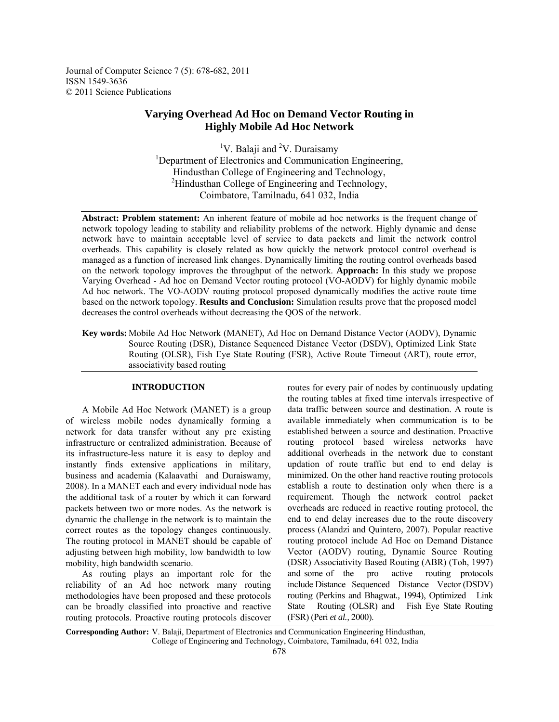Journal of Computer Science 7 (5): 678-682, 2011 ISSN 1549-3636 © 2011 Science Publications

# **Varying Overhead Ad Hoc on Demand Vector Routing in Highly Mobile Ad Hoc Network**

<sup>1</sup>V. Balaji and <sup>2</sup>V. Duraisamy <sup>1</sup>Department of Electronics and Communication Engineering, Hindusthan College of Engineering and Technology, <sup>2</sup>Hindusthan College of Engineering and Technology, Coimbatore, Tamilnadu, 641 032, India

**Abstract: Problem statement:** An inherent feature of mobile ad hoc networks is the frequent change of network topology leading to stability and reliability problems of the network. Highly dynamic and dense network have to maintain acceptable level of service to data packets and limit the network control overheads. This capability is closely related as how quickly the network protocol control overhead is managed as a function of increased link changes. Dynamically limiting the routing control overheads based on the network topology improves the throughput of the network. **Approach:** In this study we propose Varying Overhead - Ad hoc on Demand Vector routing protocol (VO-AODV) for highly dynamic mobile Ad hoc network. The VO-AODV routing protocol proposed dynamically modifies the active route time based on the network topology. **Results and Conclusion:** Simulation results prove that the proposed model decreases the control overheads without decreasing the QOS of the network.

**Key words:** Mobile Ad Hoc Network (MANET), Ad Hoc on Demand Distance Vector (AODV), Dynamic Source Routing (DSR), Distance Sequenced Distance Vector (DSDV), Optimized Link State Routing (OLSR), Fish Eye State Routing (FSR), Active Route Timeout (ART), route error, associativity based routing

## **INTRODUCTION**

 A Mobile Ad Hoc Network (MANET) is a group of wireless mobile nodes dynamically forming a network for data transfer without any pre existing infrastructure or centralized administration. Because of its infrastructure-less nature it is easy to deploy and instantly finds extensive applications in military, business and academia (Kalaavathi and Duraiswamy*,*  2008). In a MANET each and every individual node has the additional task of a router by which it can forward packets between two or more nodes. As the network is dynamic the challenge in the network is to maintain the correct routes as the topology changes continuously. The routing protocol in MANET should be capable of adjusting between high mobility, low bandwidth to low mobility, high bandwidth scenario.

 As routing plays an important role for the reliability of an Ad hoc network many routing methodologies have been proposed and these protocols can be broadly classified into proactive and reactive routing protocols. Proactive routing protocols discover

routes for every pair of nodes by continuously updating the routing tables at fixed time intervals irrespective of data traffic between source and destination. A route is available immediately when communication is to be established between a source and destination. Proactive routing protocol based wireless networks have additional overheads in the network due to constant updation of route traffic but end to end delay is minimized. On the other hand reactive routing protocols establish a route to destination only when there is a requirement. Though the network control packet overheads are reduced in reactive routing protocol, the end to end delay increases due to the route discovery process (Alandzi and Quintero*,* 2007). Popular reactive routing protocol include Ad Hoc on Demand Distance Vector (AODV) routing, Dynamic Source Routing (DSR) Associativity Based Routing (ABR) (Toh, 1997) and some of the pro active routing protocols include Distance Sequenced Distance Vector (DSDV) routing (Perkins and Bhagwat*.,* 1994), Optimized Link State Routing (OLSR) and Fish Eye State Routing (FSR) (Peri *et al.,* 2000).

**Corresponding Author:** V. Balaji, Department of Electronics and Communication Engineering Hindusthan, College of Engineering and Technology, Coimbatore, Tamilnadu, 641 032, India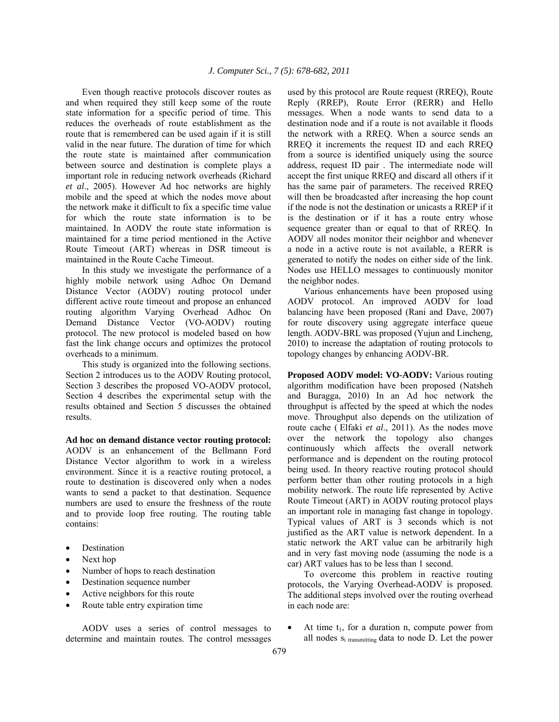Even though reactive protocols discover routes as and when required they still keep some of the route state information for a specific period of time. This reduces the overheads of route establishment as the route that is remembered can be used again if it is still valid in the near future. The duration of time for which the route state is maintained after communication between source and destination is complete plays a important role in reducing network overheads (Richard *et al*., 2005). However Ad hoc networks are highly mobile and the speed at which the nodes move about the network make it difficult to fix a specific time value for which the route state information is to be maintained. In AODV the route state information is maintained for a time period mentioned in the Active Route Timeout (ART) whereas in DSR timeout is maintained in the Route Cache Timeout.

 In this study we investigate the performance of a highly mobile network using Adhoc On Demand Distance Vector (AODV) routing protocol under different active route timeout and propose an enhanced routing algorithm Varying Overhead Adhoc On Demand Distance Vector (VO-AODV) routing protocol. The new protocol is modeled based on how fast the link change occurs and optimizes the protocol overheads to a minimum.

 This study is organized into the following sections. Section 2 introduces us to the AODV Routing protocol, Section 3 describes the proposed VO-AODV protocol, Section 4 describes the experimental setup with the results obtained and Section 5 discusses the obtained results.

**Ad hoc on demand distance vector routing protocol:**  AODV is an enhancement of the Bellmann Ford Distance Vector algorithm to work in a wireless environment. Since it is a reactive routing protocol, a route to destination is discovered only when a nodes wants to send a packet to that destination. Sequence numbers are used to ensure the freshness of the route and to provide loop free routing. The routing table contains:

- **Destination**
- Next hop
- Number of hops to reach destination
- Destination sequence number
- Active neighbors for this route
- Route table entry expiration time

 AODV uses a series of control messages to determine and maintain routes. The control messages used by this protocol are Route request (RREQ), Route Reply (RREP), Route Error (RERR) and Hello messages. When a node wants to send data to a destination node and if a route is not available it floods the network with a RREQ. When a source sends an RREQ it increments the request ID and each RREQ from a source is identified uniquely using the source address, request ID pair . The intermediate node will accept the first unique RREQ and discard all others if it has the same pair of parameters. The received RREQ will then be broadcasted after increasing the hop count if the node is not the destination or unicasts a RREP if it is the destination or if it has a route entry whose sequence greater than or equal to that of RREQ. In AODV all nodes monitor their neighbor and whenever a node in a active route is not available, a RERR is generated to notify the nodes on either side of the link. Nodes use HELLO messages to continuously monitor the neighbor nodes.

 Various enhancements have been proposed using AODV protocol. An improved AODV for load balancing have been proposed (Rani and Dave, 2007) for route discovery using aggregate interface queue length. AODV-BRL was proposed (Yujun and Lincheng*,*  2010) to increase the adaptation of routing protocols to topology changes by enhancing AODV-BR.

**Proposed AODV model: VO-AODV:** Various routing algorithm modification have been proposed (Natsheh and Buragga, 2010) In an Ad hoc network the throughput is affected by the speed at which the nodes move. Throughput also depends on the utilization of route cache ( Elfaki *et al*., 2011). As the nodes move over the network the topology also changes continuously which affects the overall network performance and is dependent on the routing protocol being used. In theory reactive routing protocol should perform better than other routing protocols in a high mobility network. The route life represented by Active Route Timeout (ART) in AODV routing protocol plays an important role in managing fast change in topology. Typical values of ART is 3 seconds which is not justified as the ART value is network dependent. In a static network the ART value can be arbitrarily high and in very fast moving node (assuming the node is a car) ART values has to be less than 1 second.

 To overcome this problem in reactive routing protocols, the Varying Overhead-AODV is proposed. The additional steps involved over the routing overhead in each node are:

At time  $t_1$ , for a duration n, compute power from all nodes  $s_i$  transmitting data to node D. Let the power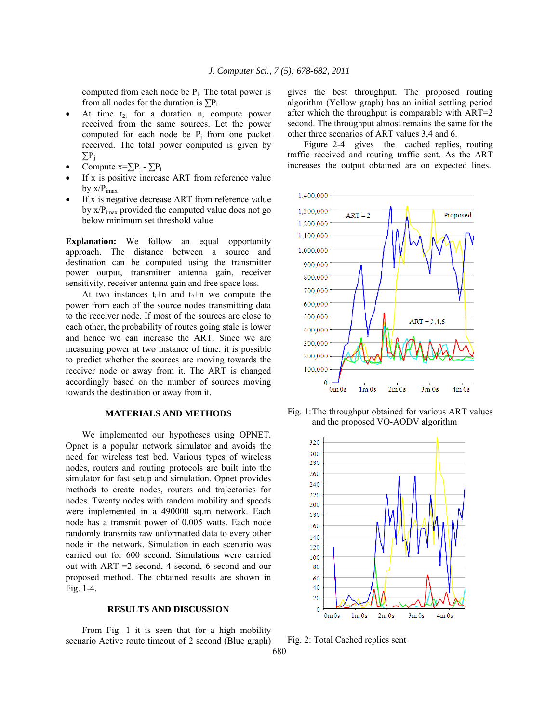computed from each node be  $P_i$ . The total power is from all nodes for the duration is  $\sum P_i$ 

- At time  $t_2$ , for a duration n, compute power received from the same sources. Let the power computed for each node be  $P_i$  from one packet received. The total power computed is given by ∑Pj
- Compute  $x=\sum P_i \sum P_i$
- If  $x$  is positive increase ART from reference value by  $x/P_{\text{imax}}$
- If x is negative decrease ART from reference value by  $x/P_{\text{imax}}$  provided the computed value does not go below minimum set threshold value

**Explanation:** We follow an equal opportunity approach. The distance between a source and destination can be computed using the transmitter power output, transmitter antenna gain, receiver sensitivity, receiver antenna gain and free space loss.

At two instances  $t_1+n$  and  $t_2+n$  we compute the power from each of the source nodes transmitting data to the receiver node. If most of the sources are close to each other, the probability of routes going stale is lower and hence we can increase the ART. Since we are measuring power at two instance of time, it is possible to predict whether the sources are moving towards the receiver node or away from it. The ART is changed accordingly based on the number of sources moving towards the destination or away from it.

### **MATERIALS AND METHODS**

 We implemented our hypotheses using OPNET. Opnet is a popular network simulator and avoids the need for wireless test bed. Various types of wireless nodes, routers and routing protocols are built into the simulator for fast setup and simulation. Opnet provides methods to create nodes, routers and trajectories for nodes. Twenty nodes with random mobility and speeds were implemented in a 490000 sq.m network. Each node has a transmit power of 0.005 watts. Each node randomly transmits raw unformatted data to every other node in the network. Simulation in each scenario was carried out for 600 second. Simulations were carried out with ART =2 second, 4 second, 6 second and our proposed method. The obtained results are shown in Fig. 1-4.

#### **RESULTS AND DISCUSSION**

 From Fig. 1 it is seen that for a high mobility scenario Active route timeout of 2 second (Blue graph) gives the best throughput. The proposed routing algorithm (Yellow graph) has an initial settling period after which the throughput is comparable with ART=2 second. The throughput almost remains the same for the other three scenarios of ART values 3,4 and 6.

 Figure 2-4 gives the cached replies, routing traffic received and routing traffic sent. As the ART increases the output obtained are on expected lines.



Fig. 1: The throughput obtained for various ART values and the proposed VO-AODV algorithm



Fig. 2: Total Cached replies sent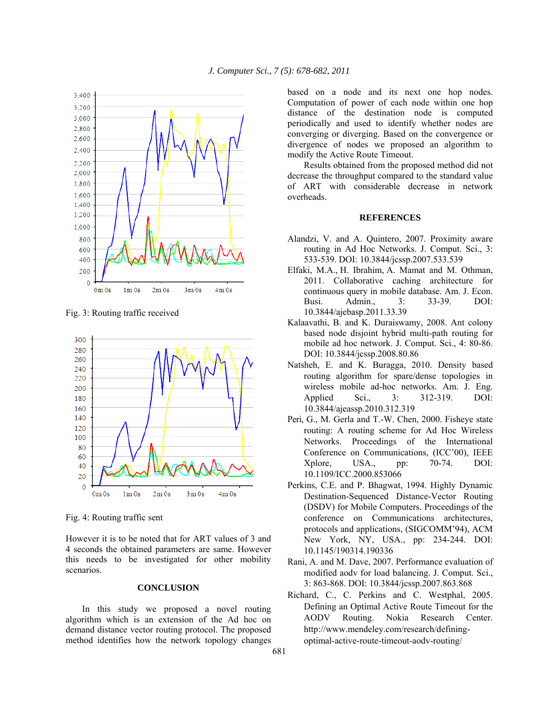

Fig. 3: Routing traffic received



Fig. 4: Routing traffic sent

However it is to be noted that for ART values of 3 and 4 seconds the obtained parameters are same. However this needs to be investigated for other mobility scenarios.

## **CONCLUSION**

 In this study we proposed a novel routing algorithm which is an extension of the Ad hoc on demand distance vector routing protocol. The proposed method identifies how the network topology changes

based on a node and its next one hop nodes. Computation of power of each node within one hop distance of the destination node is computed periodically and used to identify whether nodes are converging or diverging. Based on the convergence or divergence of nodes we proposed an algorithm to modify the Active Route Timeout.

 Results obtained from the proposed method did not decrease the throughput compared to the standard value of ART with considerable decrease in network overheads.

#### **REFERENCES**

- Alandzi, V. and A. Quintero, 2007. Proximity aware routing in Ad Hoc Networks. J. Comput. Sci., 3: 533-539. DOI: 10.3844/jcssp.2007.533.539
- Elfaki, M.A., H. Ibrahim, A. Mamat and M. Othman, 2011. Collaborative caching architecture for continuous query in mobile database. Am. J. Econ. Busi. Admin., 3: 33-39. DOI: 10.3844/ajebasp.2011.33.39
- Kalaavathi, B. and K. Duraiswamy, 2008. Ant colony based node disjoint hybrid multi-path routing for mobile ad hoc network. J. Comput. Sci., 4: 80-86. DOI: 10.3844/jcssp.2008.80.86
- Natsheh, E. and K. Buragga, 2010. Density based routing algorithm for spare/dense topologies in wireless mobile ad-hoc networks. Am. J. Eng. Applied Sci., 3: 312-319. DOI: 10.3844/ajeassp.2010.312.319
- Peri, G., M. Gerla and T.-W. Chen, 2000. Fisheye state routing: A routing scheme for Ad Hoc Wireless Networks. Proceedings of the International Conference on Communications, (ICC'00), IEEE Xplore, USA., pp: 70-74. DOI: 10.1109/ICC.2000.853066
- Perkins, C.E. and P. Bhagwat, 1994. Highly Dynamic Destination-Sequenced Distance-Vector Routing (DSDV) for Mobile Computers. Proceedings of the conference on Communications architectures, protocols and applications, (SIGCOMM'94), ACM New York, NY, USA., pp: 234-244. DOI: 10.1145/190314.190336
- Rani, A. and M. Dave, 2007. Performance evaluation of modified aodv for load balancing. J. Comput. Sci., 3: 863-868. DOI: 10.3844/jcssp.2007.863.868
- Richard, C., C. Perkins and C. Westphal, 2005. Defining an Optimal Active Route Timeout for the AODV Routing. Nokia Research Center. http://www.mendeley.com/research/definingoptimal-active-route-timeout-aodv-routing/